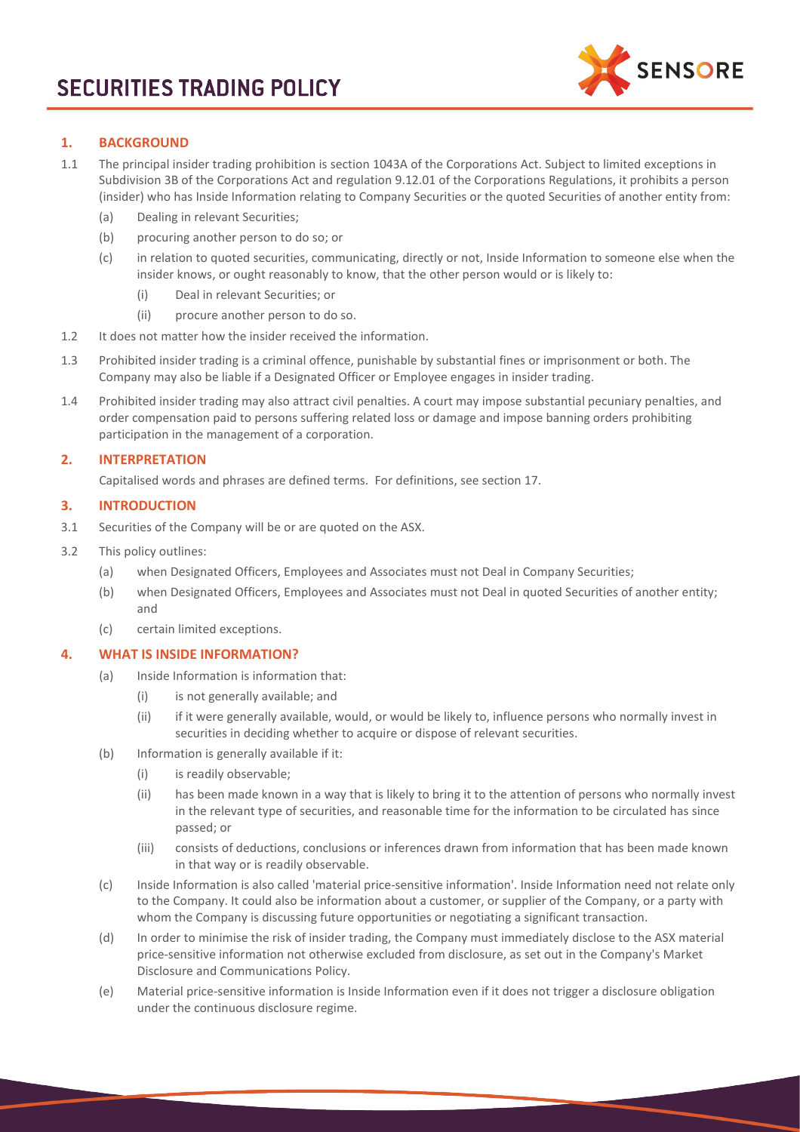

# **1. BACKGROUND**

- 1.1 The principal insider trading prohibition is section 1043A of the Corporations Act. Subject to limited exceptions in Subdivision 3B of the Corporations Act and regulation 9.12.01 of the Corporations Regulations, it prohibits a person (insider) who has Inside Information relating to Company Securities or the quoted Securities of another entity from:
	- (a) Dealing in relevant Securities;
	- (b) procuring another person to do so; or
	- (c) in relation to quoted securities, communicating, directly or not, Inside Information to someone else when the insider knows, or ought reasonably to know, that the other person would or is likely to:
		- (i) Deal in relevant Securities; or
		- (ii) procure another person to do so.
- 1.2 It does not matter how the insider received the information.
- 1.3 Prohibited insider trading is a criminal offence, punishable by substantial fines or imprisonment or both. The Company may also be liable if a Designated Officer or Employee engages in insider trading.
- 1.4 Prohibited insider trading may also attract civil penalties. A court may impose substantial pecuniary penalties, and order compensation paid to persons suffering related loss or damage and impose banning orders prohibiting participation in the management of a corporation.

# **2. INTERPRETATION**

Capitalised words and phrases are defined terms. For definitions, see section [17.](#page-5-0)

# **3. INTRODUCTION**

- 3.1 Securities of the Company will be or are quoted on the ASX.
- 3.2 This policy outlines:
	- (a) when Designated Officers, Employees and Associates must not Deal in Company Securities;
	- (b) when Designated Officers, Employees and Associates must not Deal in quoted Securities of another entity; and
	- (c) certain limited exceptions.

# <span id="page-0-0"></span>**4. WHAT IS INSIDE INFORMATION?**

- (a) Inside Information is information that:
	- (i) is not generally available; and
	- (ii) if it were generally available, would, or would be likely to, influence persons who normally invest in securities in deciding whether to acquire or dispose of relevant securities.
- (b) Information is generally available if it:
	- (i) is readily observable;
	- (ii) has been made known in a way that is likely to bring it to the attention of persons who normally invest in the relevant type of securities, and reasonable time for the information to be circulated has since passed; or
	- (iii) consists of deductions, conclusions or inferences drawn from information that has been made known in that way or is readily observable.
- (c) Inside Information is also called 'material price-sensitive information'. Inside Information need not relate only to the Company. It could also be information about a customer, or supplier of the Company, or a party with whom the Company is discussing future opportunities or negotiating a significant transaction.
- (d) In order to minimise the risk of insider trading, the Company must immediately disclose to the ASX material price-sensitive information not otherwise excluded from disclosure, as set out in the Company's Market Disclosure and Communications Policy.
- (e) Material price-sensitive information is Inside Information even if it does not trigger a disclosure obligation under the continuous disclosure regime.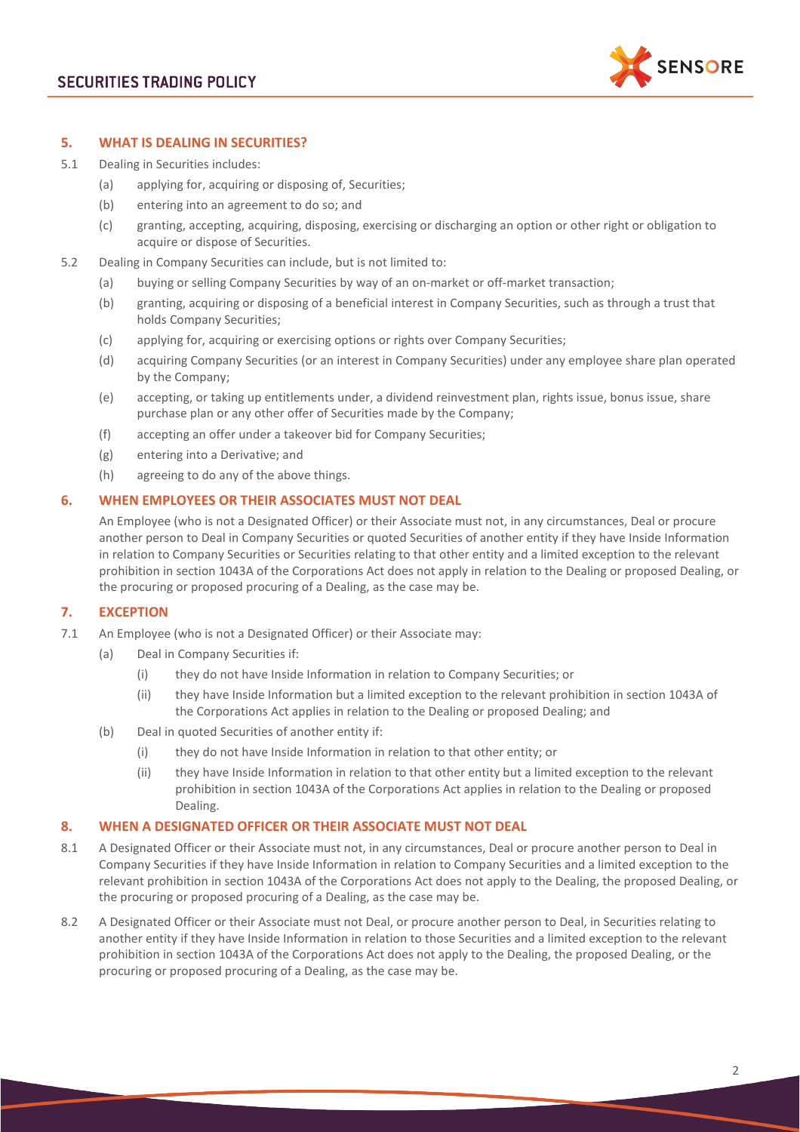

## **5. WHAT IS DEALING IN SECURITIES?**

- 5.1 Dealing in Securities includes:
	- (a) applying for, acquiring or disposing of, Securities;
	- (b) entering into an agreement to do so; and
	- (c) granting, accepting, acquiring, disposing, exercising or discharging an option or other right or obligation to acquire or dispose of Securities.
- 5.2 Dealing in Company Securities can include, but is not limited to:
	- (a) buying or selling Company Securities by way of an on-market or off-market transaction;
	- (b) granting, acquiring or disposing of a beneficial interest in Company Securities, such as through a trust that holds Company Securities;
	- (c) applying for, acquiring or exercising options or rights over Company Securities;
	- (d) acquiring Company Securities (or an interest in Company Securities) under any employee share plan operated by the Company;
	- (e) accepting, or taking up entitlements under, a dividend reinvestment plan, rights issue, bonus issue, share purchase plan or any other offer of Securities made by the Company;
	- (f) accepting an offer under a takeover bid for Company Securities;
	- (g) entering into a Derivative; and
	- (h) agreeing to do any of the above things.

## **6. WHEN EMPLOYEES OR THEIR ASSOCIATES MUST NOT DEAL**

An Employee (who is not a Designated Officer) or their Associate must not, in any circumstances, Deal or procure another person to Deal in Company Securities or quoted Securities of another entity if they have Inside Information in relation to Company Securities or Securities relating to that other entity and a limited exception to the relevant prohibition in section 1043A of the Corporations Act does not apply in relation to the Dealing or proposed Dealing, or the procuring or proposed procuring of a Dealing, as the case may be.

# **7. EXCEPTION**

- 7.1 An Employee (who is not a Designated Officer) or their Associate may:
	- (a) Deal in Company Securities if:
		- (i) they do not have Inside Information in relation to Company Securities; or
		- (ii) they have Inside Information but a limited exception to the relevant prohibition in section 1043A of the Corporations Act applies in relation to the Dealing or proposed Dealing; and
	- (b) Deal in quoted Securities of another entity if:
		- (i) they do not have Inside Information in relation to that other entity; or
		- (ii) they have Inside Information in relation to that other entity but a limited exception to the relevant prohibition in section 1043A of the Corporations Act applies in relation to the Dealing or proposed Dealing.

## **8. WHEN A DESIGNATED OFFICER OR THEIR ASSOCIATE MUST NOT DEAL**

- 8.1 A Designated Officer or their Associate must not, in any circumstances, Deal or procure another person to Deal in Company Securities if they have Inside Information in relation to Company Securities and a limited exception to the relevant prohibition in section 1043A of the Corporations Act does not apply to the Dealing, the proposed Dealing, or the procuring or proposed procuring of a Dealing, as the case may be.
- 8.2 A Designated Officer or their Associate must not Deal, or procure another person to Deal, in Securities relating to another entity if they have Inside Information in relation to those Securities and a limited exception to the relevant prohibition in section 1043A of the Corporations Act does not apply to the Dealing, the proposed Dealing, or the procuring or proposed procuring of a Dealing, as the case may be.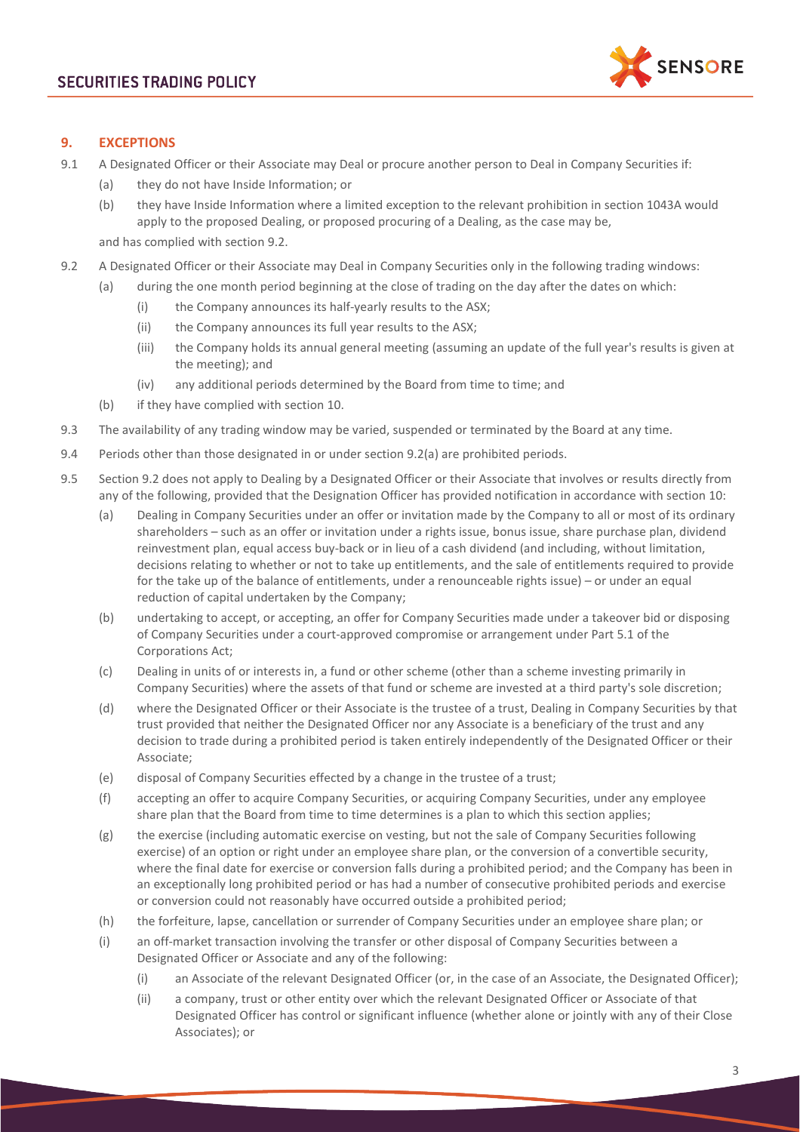

# **9. EXCEPTIONS**

- 9.1 A Designated Officer or their Associate may Deal or procure another person to Deal in Company Securities if:
	- (a) they do not have Inside Information; or
	- (b) they have Inside Information where a limited exception to the relevant prohibition in section 1043A would apply to the proposed Dealing, or proposed procuring of a Dealing, as the case may be,

and has complied with section [9.2.](#page-2-0)

- <span id="page-2-1"></span><span id="page-2-0"></span>9.2 A Designated Officer or their Associate may Deal in Company Securities only in the following trading windows:
	- (a) during the one month period beginning at the close of trading on the day after the dates on which:
		- (i) the Company announces its half-yearly results to the ASX;
		- (ii) the Company announces its full year results to the ASX;
		- (iii) the Company holds its annual general meeting (assuming an update of the full year's results is given at the meeting); and
		- (iv) any additional periods determined by the Board from time to time; and
	- (b) if they have complied with section [10.](#page-3-0)
- 9.3 The availability of any trading window may be varied, suspended or terminated by the Board at any time.
- 9.4 Periods other than those designated in or under section [9.2\(a\)](#page-2-1) are prohibited periods.
- 9.5 Section [9.2](#page-2-0) does not apply to Dealing by a Designated Officer or their Associate that involves or results directly from any of the following, provided that the Designation Officer has provided notification in accordance with section [10:](#page-3-0)
	- (a) Dealing in Company Securities under an offer or invitation made by the Company to all or most of its ordinary shareholders – such as an offer or invitation under a rights issue, bonus issue, share purchase plan, dividend reinvestment plan, equal access buy-back or in lieu of a cash dividend (and including, without limitation, decisions relating to whether or not to take up entitlements, and the sale of entitlements required to provide for the take up of the balance of entitlements, under a renounceable rights issue) – or under an equal reduction of capital undertaken by the Company;
	- (b) undertaking to accept, or accepting, an offer for Company Securities made under a takeover bid or disposing of Company Securities under a court-approved compromise or arrangement under Part 5.1 of the Corporations Act;
	- (c) Dealing in units of or interests in, a fund or other scheme (other than a scheme investing primarily in Company Securities) where the assets of that fund or scheme are invested at a third party's sole discretion;
	- (d) where the Designated Officer or their Associate is the trustee of a trust, Dealing in Company Securities by that trust provided that neither the Designated Officer nor any Associate is a beneficiary of the trust and any decision to trade during a prohibited period is taken entirely independently of the Designated Officer or their Associate;
	- (e) disposal of Company Securities effected by a change in the trustee of a trust;
	- (f) accepting an offer to acquire Company Securities, or acquiring Company Securities, under any employee share plan that the Board from time to time determines is a plan to which this section applies;
	- (g) the exercise (including automatic exercise on vesting, but not the sale of Company Securities following exercise) of an option or right under an employee share plan, or the conversion of a convertible security, where the final date for exercise or conversion falls during a prohibited period; and the Company has been in an exceptionally long prohibited period or has had a number of consecutive prohibited periods and exercise or conversion could not reasonably have occurred outside a prohibited period;
	- (h) the forfeiture, lapse, cancellation or surrender of Company Securities under an employee share plan; or
	- (i) an off-market transaction involving the transfer or other disposal of Company Securities between a Designated Officer or Associate and any of the following:
		- (i) an Associate of the relevant Designated Officer (or, in the case of an Associate, the Designated Officer);
		- (ii) a company, trust or other entity over which the relevant Designated Officer or Associate of that Designated Officer has control or significant influence (whether alone or jointly with any of their Close Associates); or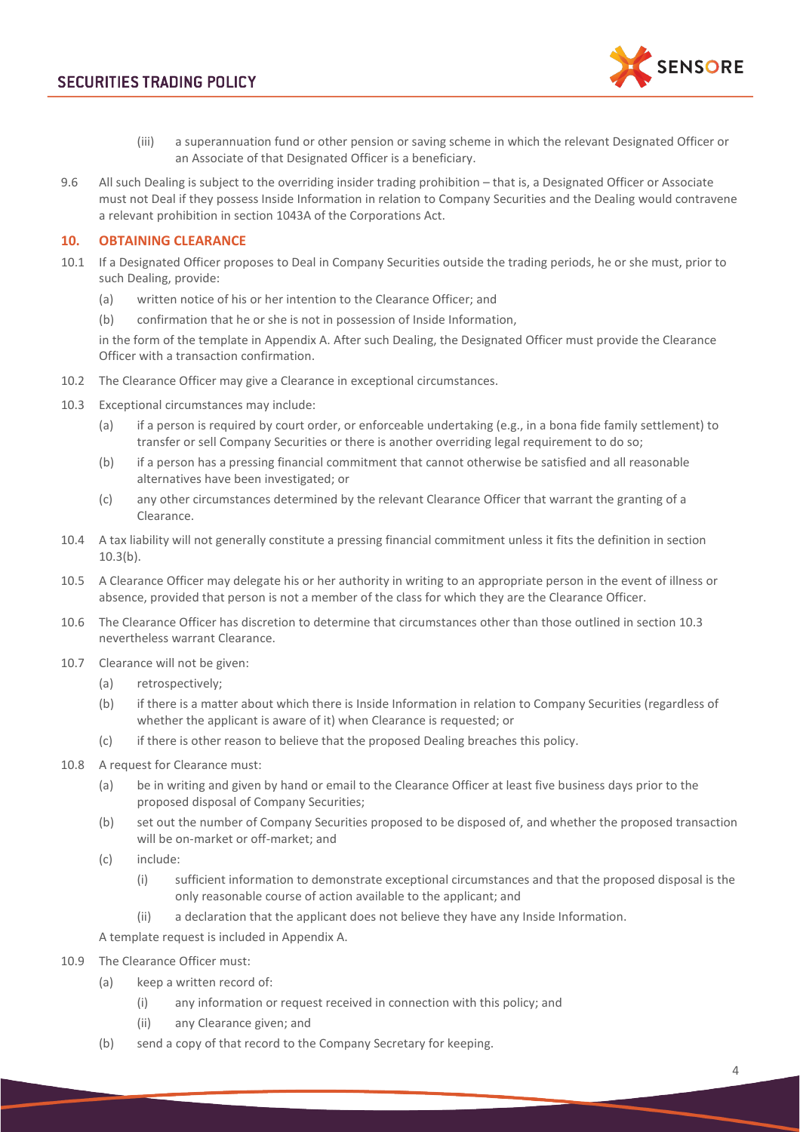

- (iii) a superannuation fund or other pension or saving scheme in which the relevant Designated Officer or an Associate of that Designated Officer is a beneficiary.
- 9.6 All such Dealing is subject to the overriding insider trading prohibition that is, a Designated Officer or Associate must not Deal if they possess Inside Information in relation to Company Securities and the Dealing would contravene a relevant prohibition in section 1043A of the Corporations Act.

# <span id="page-3-0"></span>**10. OBTAINING CLEARANCE**

- <span id="page-3-3"></span>10.1 If a Designated Officer proposes to Deal in Company Securities outside the trading periods, he or she must, prior to such Dealing, provide:
	- (a) written notice of his or her intention to the Clearance Officer; and
	- (b) confirmation that he or she is not in possession of Inside Information,

in the form of the template in Appendix A. After such Dealing, the Designated Officer must provide the Clearance Officer with a transaction confirmation.

- 10.2 The Clearance Officer may give a Clearance in exceptional circumstances.
- <span id="page-3-2"></span><span id="page-3-1"></span>10.3 Exceptional circumstances may include:
	- (a) if a person is required by court order, or enforceable undertaking (e.g., in a bona fide family settlement) to transfer or sell Company Securities or there is another overriding legal requirement to do so;
	- (b) if a person has a pressing financial commitment that cannot otherwise be satisfied and all reasonable alternatives have been investigated; or
	- (c) any other circumstances determined by the relevant Clearance Officer that warrant the granting of a Clearance.
- 10.4 A tax liability will not generally constitute a pressing financial commitment unless it fits the definition in section [10.3\(b\).](#page-3-1)
- 10.5 A Clearance Officer may delegate his or her authority in writing to an appropriate person in the event of illness or absence, provided that person is not a member of the class for which they are the Clearance Officer.
- 10.6 The Clearance Officer has discretion to determine that circumstances other than those outlined in section [10.3](#page-3-2) nevertheless warrant Clearance.
- 10.7 Clearance will not be given:
	- (a) retrospectively;
	- (b) if there is a matter about which there is Inside Information in relation to Company Securities (regardless of whether the applicant is aware of it) when Clearance is requested; or
	- (c) if there is other reason to believe that the proposed Dealing breaches this policy.
- 10.8 A request for Clearance must:
	- (a) be in writing and given by hand or email to the Clearance Officer at least five business days prior to the proposed disposal of Company Securities;
	- (b) set out the number of Company Securities proposed to be disposed of, and whether the proposed transaction will be on-market or off-market; and
	- (c) include:
		- (i) sufficient information to demonstrate exceptional circumstances and that the proposed disposal is the only reasonable course of action available to the applicant; and
		- (ii) a declaration that the applicant does not believe they have any Inside Information.

<span id="page-3-5"></span>A template request is included in Appendix A.

- <span id="page-3-4"></span>10.9 The Clearance Officer must:
	- (a) keep a written record of:
		- (i) any information or request received in connection with this policy; and
		- (ii) any Clearance given; and
	- (b) send a copy of that record to the Company Secretary for keeping.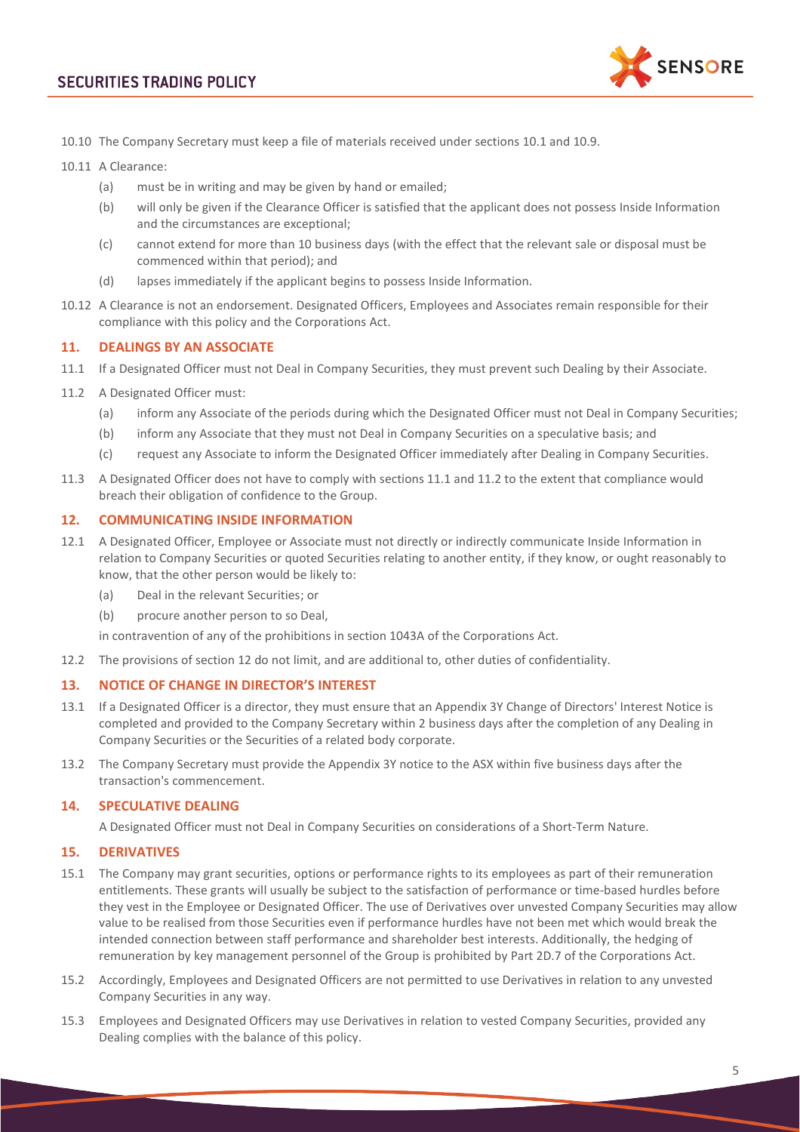

10.10 The Company Secretary must keep a file of materials received under sections [10.1](#page-3-3) and [10.9.](#page-3-4)

10.11 A Clearance:

- (a) must be in writing and may be given by hand or emailed;
- (b) will only be given if the Clearance Officer is satisfied that the applicant does not possess Inside Information and the circumstances are exceptional;
- (c) cannot extend for more than 10 business days (with the effect that the relevant sale or disposal must be commenced within that period); and
- (d) lapses immediately if the applicant begins to possess Inside Information.
- 10.12 A Clearance is not an endorsement. Designated Officers, Employees and Associates remain responsible for their compliance with this policy and the Corporations Act.

## **11. DEALINGS BY AN ASSOCIATE**

- <span id="page-4-0"></span>11.1 If a Designated Officer must not Deal in Company Securities, they must prevent such Dealing by their Associate.
- <span id="page-4-1"></span>11.2 A Designated Officer must:
	- (a) inform any Associate of the periods during which the Designated Officer must not Deal in Company Securities;
	- (b) inform any Associate that they must not Deal in Company Securities on a speculative basis; and
	- (c) request any Associate to inform the Designated Officer immediately after Dealing in Company Securities.
- 11.3 A Designated Officer does not have to comply with section[s 11.1](#page-4-0) and [11.2](#page-4-1) to the extent that compliance would breach their obligation of confidence to the Group.

## <span id="page-4-2"></span>**12. COMMUNICATING INSIDE INFORMATION**

- 12.1 A Designated Officer, Employee or Associate must not directly or indirectly communicate Inside Information in relation to Company Securities or quoted Securities relating to another entity, if they know, or ought reasonably to know, that the other person would be likely to:
	- (a) Deal in the relevant Securities; or
	- (b) procure another person to so Deal,

in contravention of any of the prohibitions in section 1043A of the Corporations Act.

12.2 The provisions of section [12](#page-4-2) do not limit, and are additional to, other duties of confidentiality.

#### **13. NOTICE OF CHANGE IN DIRECTOR'S INTEREST**

- 13.1 If a Designated Officer is a director, they must ensure that an Appendix 3Y Change of Directors' Interest Notice is completed and provided to the Company Secretary within 2 business days after the completion of any Dealing in Company Securities or the Securities of a related body corporate.
- 13.2 The Company Secretary must provide the Appendix 3Y notice to the ASX within five business days after the transaction's commencement.

### **14. SPECULATIVE DEALING**

A Designated Officer must not Deal in Company Securities on considerations of a Short-Term Nature.

## **15. DERIVATIVES**

- 15.1 The Company may grant securities, options or performance rights to its employees as part of their remuneration entitlements. These grants will usually be subject to the satisfaction of performance or time-based hurdles before they vest in the Employee or Designated Officer. The use of Derivatives over unvested Company Securities may allow value to be realised from those Securities even if performance hurdles have not been met which would break the intended connection between staff performance and shareholder best interests. Additionally, the hedging of remuneration by key management personnel of the Group is prohibited by Part 2D.7 of the Corporations Act.
- 15.2 Accordingly, Employees and Designated Officers are not permitted to use Derivatives in relation to any unvested Company Securities in any way.
- 15.3 Employees and Designated Officers may use Derivatives in relation to vested Company Securities, provided any Dealing complies with the balance of this policy.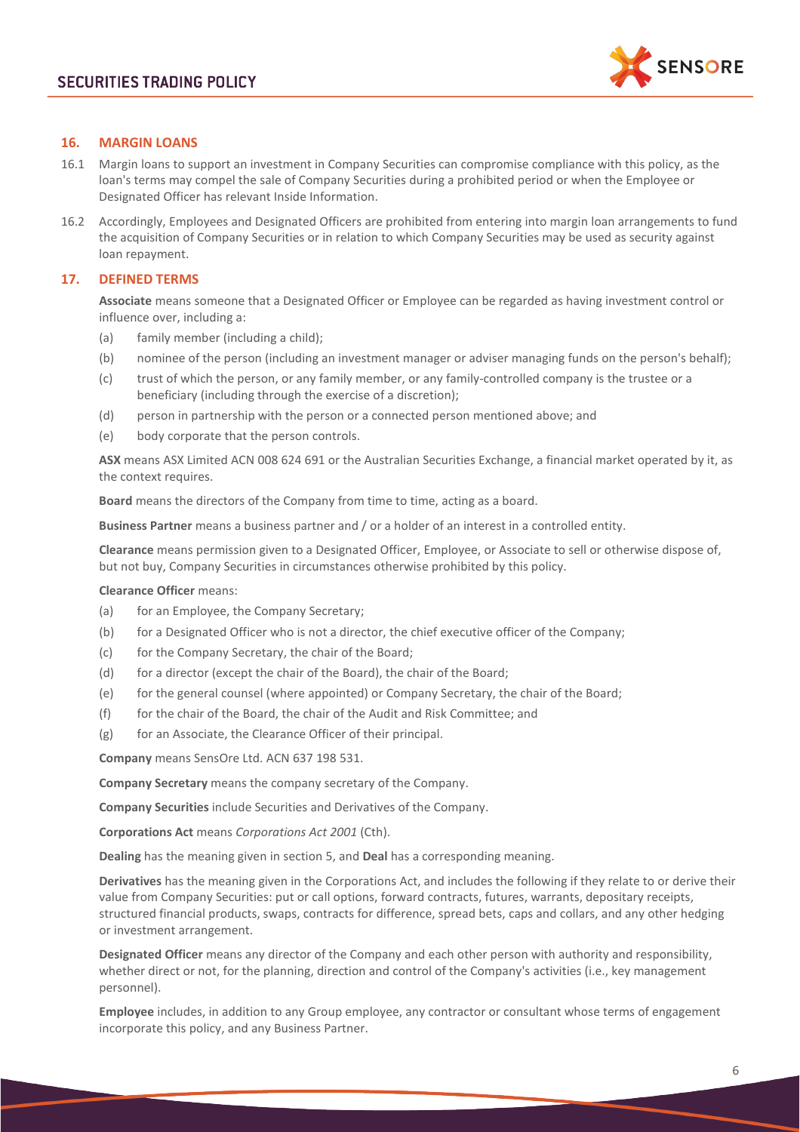

# **16. MARGIN LOANS**

- 16.1 Margin loans to support an investment in Company Securities can compromise compliance with this policy, as the loan's terms may compel the sale of Company Securities during a prohibited period or when the Employee or Designated Officer has relevant Inside Information.
- 16.2 Accordingly, Employees and Designated Officers are prohibited from entering into margin loan arrangements to fund the acquisition of Company Securities or in relation to which Company Securities may be used as security against loan repayment.

# <span id="page-5-0"></span>**17. DEFINED TERMS**

**Associate** means someone that a Designated Officer or Employee can be regarded as having investment control or influence over, including a:

- (a) family member (including a child);
- (b) nominee of the person (including an investment manager or adviser managing funds on the person's behalf);
- (c) trust of which the person, or any family member, or any family-controlled company is the trustee or a beneficiary (including through the exercise of a discretion);
- (d) person in partnership with the person or a connected person mentioned above; and
- (e) body corporate that the person controls.

**ASX** means ASX Limited ACN 008 624 691 or the Australian Securities Exchange, a financial market operated by it, as the context requires.

**Board** means the directors of the Company from time to time, acting as a board.

**Business Partner** means a business partner and / or a holder of an interest in a controlled entity.

**Clearance** means permission given to a Designated Officer, Employee, or Associate to sell or otherwise dispose of, but not buy, Company Securities in circumstances otherwise prohibited by this policy.

#### **Clearance Officer** means:

- (a) for an Employee, the Company Secretary;
- (b) for a Designated Officer who is not a director, the chief executive officer of the Company;
- (c) for the Company Secretary, the chair of the Board;
- (d) for a director (except the chair of the Board), the chair of the Board;
- (e) for the general counsel (where appointed) or Company Secretary, the chair of the Board;
- (f) for the chair of the Board, the chair of the Audit and Risk Committee; and
- (g) for an Associate, the Clearance Officer of their principal.

**Company** means SensOre Ltd. ACN 637 198 531.

**Company Secretary** means the company secretary of the Company.

**Company Securities** include Securities and Derivatives of the Company.

**Corporations Act** means *Corporations Act 2001* (Cth).

**Dealing** has the meaning given in section 5, and **Deal** has a corresponding meaning.

**Derivatives** has the meaning given in the Corporations Act, and includes the following if they relate to or derive their value from Company Securities: put or call options, forward contracts, futures, warrants, depositary receipts, structured financial products, swaps, contracts for difference, spread bets, caps and collars, and any other hedging or investment arrangement.

**Designated Officer** means any director of the Company and each other person with authority and responsibility, whether direct or not, for the planning, direction and control of the Company's activities (i.e., key management personnel).

**Employee** includes, in addition to any Group employee, any contractor or consultant whose terms of engagement incorporate this policy, and any Business Partner.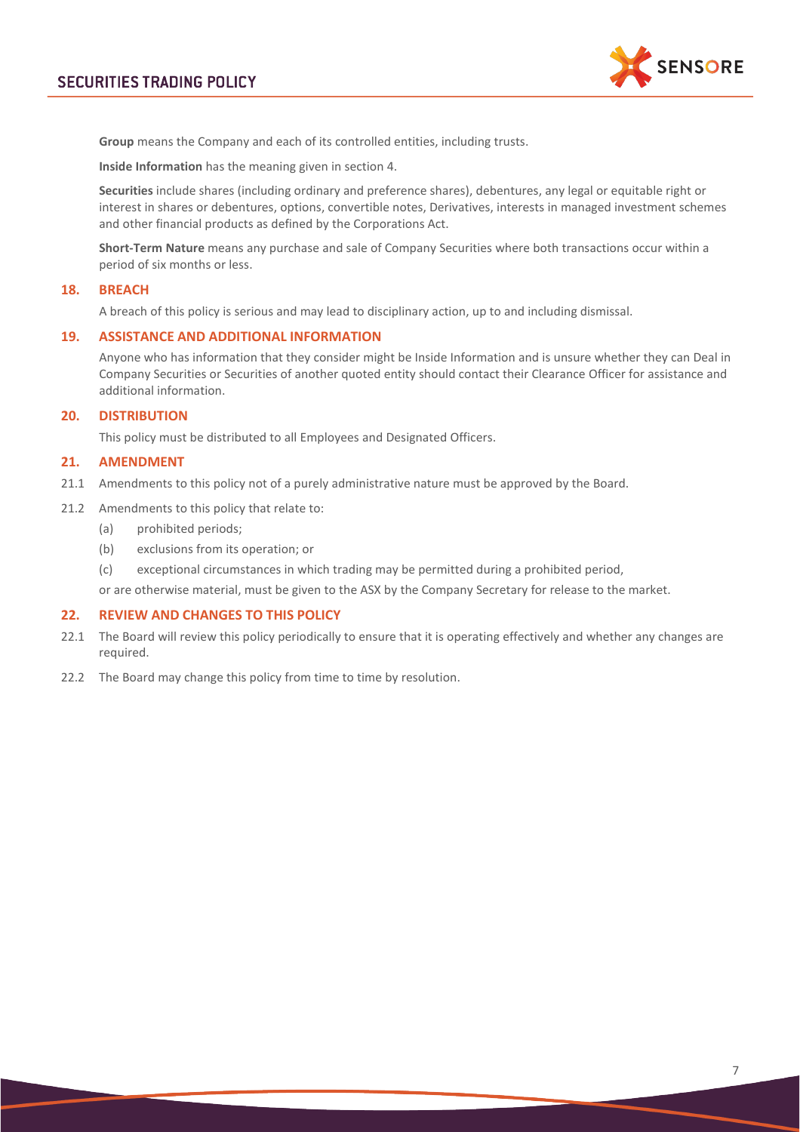

**Group** means the Company and each of its controlled entities, including trusts.

**Inside Information** has the meaning given in section [4.](#page-0-0)

**Securities** include shares (including ordinary and preference shares), debentures, any legal or equitable right or interest in shares or debentures, options, convertible notes, Derivatives, interests in managed investment schemes and other financial products as defined by the Corporations Act.

**Short-Term Nature** means any purchase and sale of Company Securities where both transactions occur within a period of six months or less.

## **18. BREACH**

A breach of this policy is serious and may lead to disciplinary action, up to and including dismissal.

### **19. ASSISTANCE AND ADDITIONAL INFORMATION**

Anyone who has information that they consider might be Inside Information and is unsure whether they can Deal in Company Securities or Securities of another quoted entity should contact their Clearance Officer for assistance and additional information.

#### **20. DISTRIBUTION**

This policy must be distributed to all Employees and Designated Officers.

## **21. AMENDMENT**

- 21.1 Amendments to this policy not of a purely administrative nature must be approved by the Board.
- 21.2 Amendments to this policy that relate to:
	- (a) prohibited periods;
	- (b) exclusions from its operation; or
	- (c) exceptional circumstances in which trading may be permitted during a prohibited period,

or are otherwise material, must be given to the ASX by the Company Secretary for release to the market.

#### **22. REVIEW AND CHANGES TO THIS POLICY**

- 22.1 The Board will review this policy periodically to ensure that it is operating effectively and whether any changes are required.
- 22.2 The Board may change this policy from time to time by resolution.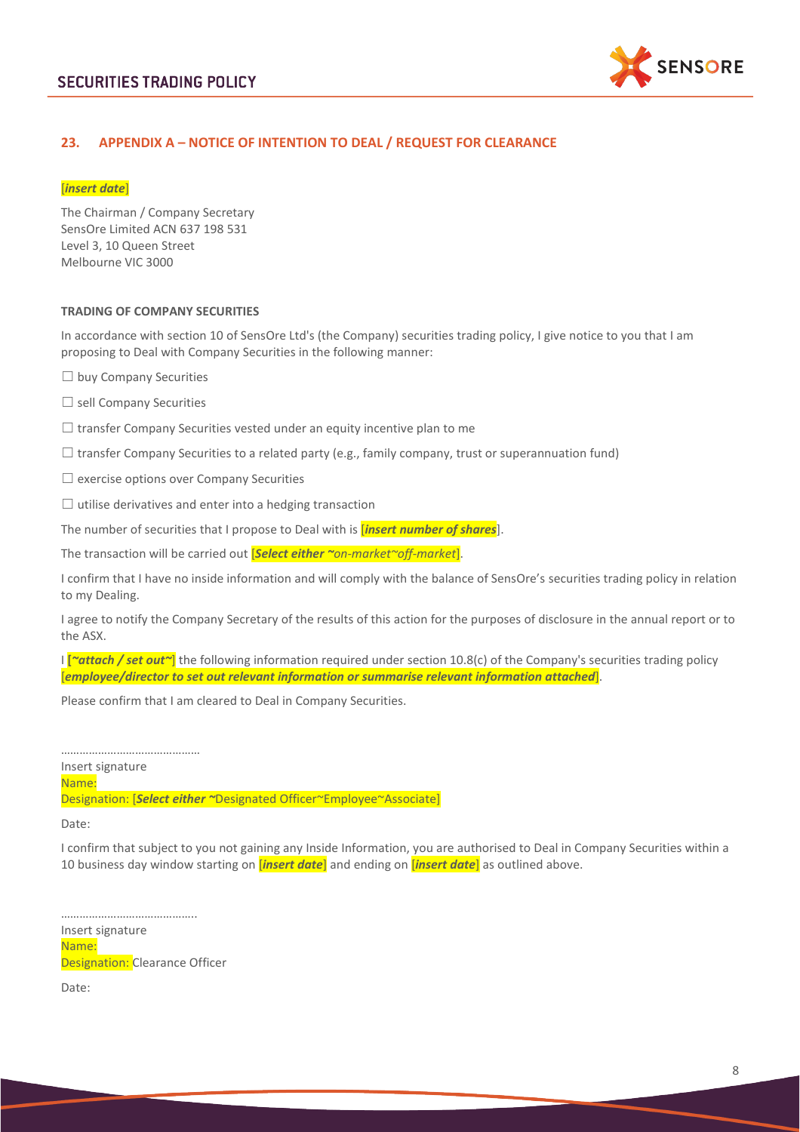

# **23. APPENDIX A – NOTICE OF INTENTION TO DEAL / REQUEST FOR CLEARANCE**

### [*insert date*]

The Chairman / Company Secretary SensOre Limited ACN 637 198 531 Level 3, 10 Queen Street Melbourne VIC 3000

#### **TRADING OF COMPANY SECURITIES**

In accordance with section [10](#page-3-0) of SensOre Ltd's (the Company) securities trading policy, I give notice to you that I am proposing to Deal with Company Securities in the following manner:

- ☐ buy Company Securities
- ☐ sell Company Securities
- $\Box$  transfer Company Securities vested under an equity incentive plan to me
- $\Box$  transfer Company Securities to a related party (e.g., family company, trust or superannuation fund)
- $\Box$  exercise options over Company Securities
- $\Box$  utilise derivatives and enter into a hedging transaction

The number of securities that I propose to Deal with is [*insert number of shares*].

The transaction will be carried out [*Select either ~on-market~off-market*].

I confirm that I have no inside information and will comply with the balance of SensOre's securities trading policy in relation to my Dealing.

I agree to notify the Company Secretary of the results of this action for the purposes of disclosure in the annual report or to the ASX.

I **[***~attach / set out~*] the following information required under section [10.8\(c\)](#page-3-5) of the Company's securities trading policy [*employee/director to set out relevant information or summarise relevant information attached*].

Please confirm that I am cleared to Deal in Company Securities.

……………………………………… Insert signature Name: Designation: [*Select either ~*Designated Officer~Employee~Associate]

Date:

I confirm that subject to you not gaining any Inside Information, you are authorised to Deal in Company Securities within a 10 business day window starting on [*insert date*] and ending on [*insert date*] as outlined above.

…………………………………….. Insert signature Name: **Designation:** Clearance Officer

Date: